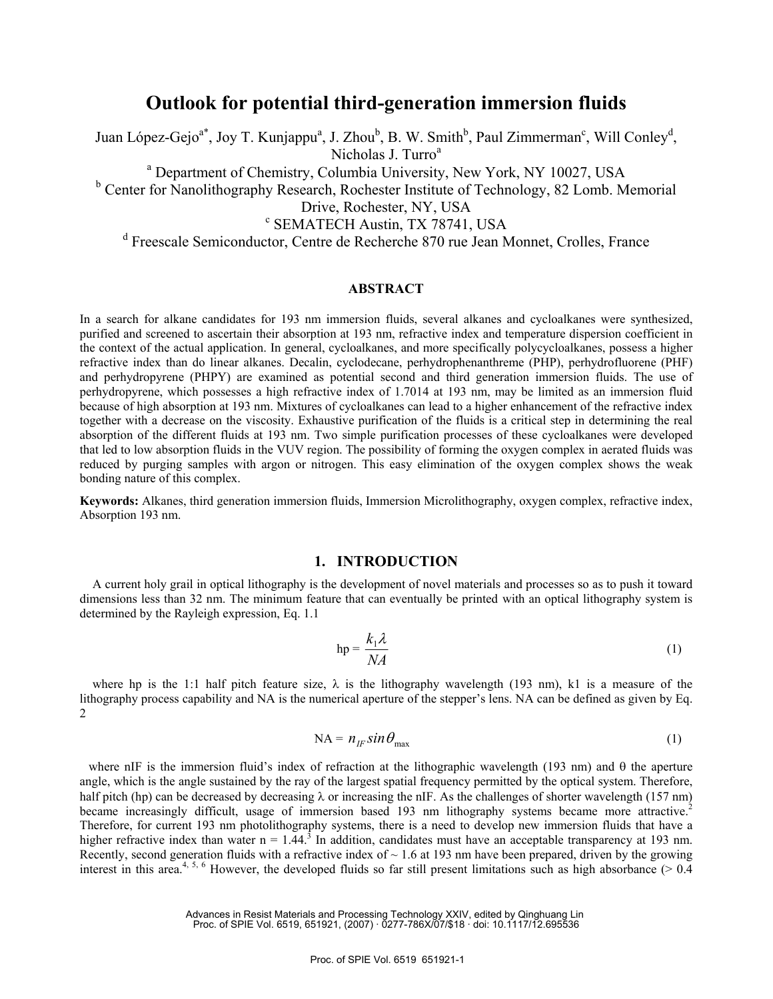# **Outlook for potential third-generation immersion fluids**

Juan López-Gejo<sup>a\*</sup>, Joy T. Kunjappu<sup>a</sup>, J. Zhou<sup>b</sup>, B. W. Smith<sup>b</sup>, Paul Zimmerman<sup>c</sup>, Will Conley<sup>d</sup>, Nicholas J. Turro<sup>a</sup>

<sup>a</sup> Department of Chemistry, Columbia University, New York, NY 10027, USA

<sup>b</sup> Center for Nanolithography Research, Rochester Institute of Technology, 82 Lomb. Memorial

Drive, Rochester, NY, USA

SEMATECH Austin, TX 78741, USA

d Freescale Semiconductor, Centre de Recherche 870 rue Jean Monnet, Crolles, France

### **ABSTRACT**

In a search for alkane candidates for 193 nm immersion fluids, several alkanes and cycloalkanes were synthesized, purified and screened to ascertain their absorption at 193 nm, refractive index and temperature dispersion coefficient in the context of the actual application. In general, cycloalkanes, and more specifically polycycloalkanes, possess a higher refractive index than do linear alkanes. Decalin, cyclodecane, perhydrophenanthreme (PHP), perhydrofluorene (PHF) and perhydropyrene (PHPY) are examined as potential second and third generation immersion fluids. The use of perhydropyrene, which possesses a high refractive index of 1.7014 at 193 nm, may be limited as an immersion fluid because of high absorption at 193 nm. Mixtures of cycloalkanes can lead to a higher enhancement of the refractive index together with a decrease on the viscosity. Exhaustive purification of the fluids is a critical step in determining the real absorption of the different fluids at 193 nm. Two simple purification processes of these cycloalkanes were developed that led to low absorption fluids in the VUV region. The possibility of forming the oxygen complex in aerated fluids was reduced by purging samples with argon or nitrogen. This easy elimination of the oxygen complex shows the weak bonding nature of this complex.

**Keywords:** Alkanes, third generation immersion fluids, Immersion Microlithography, oxygen complex, refractive index, Absorption 193 nm.

### **1. INTRODUCTION**

A current holy grail in optical lithography is the development of novel materials and processes so as to push it toward dimensions less than 32 nm. The minimum feature that can eventually be printed with an optical lithography system is determined by the Rayleigh expression, Eq. 1.1

$$
hp = \frac{k_1 \lambda}{NA}
$$
 (1)

where hp is the 1:1 half pitch feature size,  $\lambda$  is the lithography wavelength (193 nm), k1 is a measure of the lithography process capability and NA is the numerical aperture of the stepper's lens. NA can be defined as given by Eq. 2

$$
NA = n_{IF} \sin \theta_{max} \tag{1}
$$

where nIF is the immersion fluid's index of refraction at the lithographic wavelength (193 nm) and  $\theta$  the aperture angle, which is the angle sustained by the ray of the largest spatial frequency permitted by the optical system. Therefore, half pitch (hp) can be decreased by decreasing  $\lambda$  or increasing the nIF. As the challenges of shorter wavelength (157 nm) became increasingly difficult, usage of immersion based 193 nm lithography systems became more attractive.<sup>2</sup> Therefore, for current 193 nm photolithography systems, there is a need to develop new immersion fluids that have a higher refractive index than water  $n = 1.44$ .<sup>3</sup> In addition, candidates must have an acceptable transparency at 193 nm. Recently, second generation fluids with a refractive index of  $\sim 1.6$  at 193 nm have been prepared, driven by the growing interest in this area.<sup>4, 5, 6</sup> However, the developed fluids so far still present limitations such as high absorbance ( $> 0.4$ )

> Advances in Resist Materials and Processing Technology XXIV, edited by Qinghuang Lin Proc. of SPIE Vol. 6519, 651921, (2007) · 0277-786X/07/\$18 · doi: 10.1117/12.695536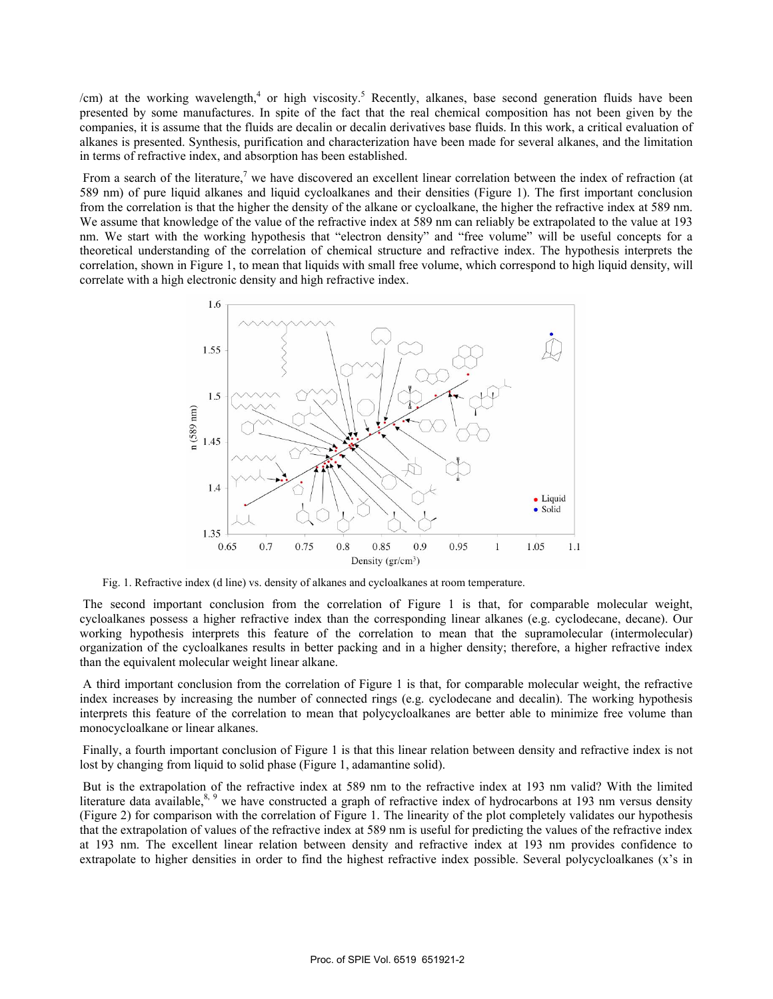/cm) at the working wavelength,<sup>4</sup> or high viscosity.<sup>5</sup> Recently, alkanes, base second generation fluids have been presented by some manufactures. In spite of the fact that the real chemical composition has not been given by the companies, it is assume that the fluids are decalin or decalin derivatives base fluids. In this work, a critical evaluation of alkanes is presented. Synthesis, purification and characterization have been made for several alkanes, and the limitation in terms of refractive index, and absorption has been established.

From a search of the literature,<sup>7</sup> we have discovered an excellent linear correlation between the index of refraction (at 589 nm) of pure liquid alkanes and liquid cycloalkanes and their densities (Figure 1). The first important conclusion from the correlation is that the higher the density of the alkane or cycloalkane, the higher the refractive index at 589 nm. We assume that knowledge of the value of the refractive index at 589 nm can reliably be extrapolated to the value at 193 nm. We start with the working hypothesis that "electron density" and "free volume" will be useful concepts for a theoretical understanding of the correlation of chemical structure and refractive index. The hypothesis interprets the correlation, shown in Figure 1, to mean that liquids with small free volume, which correspond to high liquid density, will correlate with a high electronic density and high refractive index.



Fig. 1. Refractive index (d line) vs. density of alkanes and cycloalkanes at room temperature.

 The second important conclusion from the correlation of Figure 1 is that, for comparable molecular weight, cycloalkanes possess a higher refractive index than the corresponding linear alkanes (e.g. cyclodecane, decane). Our working hypothesis interprets this feature of the correlation to mean that the supramolecular (intermolecular) organization of the cycloalkanes results in better packing and in a higher density; therefore, a higher refractive index than the equivalent molecular weight linear alkane.

 A third important conclusion from the correlation of Figure 1 is that, for comparable molecular weight, the refractive index increases by increasing the number of connected rings (e.g. cyclodecane and decalin). The working hypothesis interprets this feature of the correlation to mean that polycycloalkanes are better able to minimize free volume than monocycloalkane or linear alkanes.

 Finally, a fourth important conclusion of Figure 1 is that this linear relation between density and refractive index is not lost by changing from liquid to solid phase (Figure 1, adamantine solid).

 But is the extrapolation of the refractive index at 589 nm to the refractive index at 193 nm valid? With the limited literature data available,<sup>8, 9</sup> we have constructed a graph of refractive index of hydrocarbons at 193 nm versus density (Figure 2) for comparison with the correlation of Figure 1. The linearity of the plot completely validates our hypothesis that the extrapolation of values of the refractive index at 589 nm is useful for predicting the values of the refractive index at 193 nm. The excellent linear relation between density and refractive index at 193 nm provides confidence to extrapolate to higher densities in order to find the highest refractive index possible. Several polycycloalkanes (x's in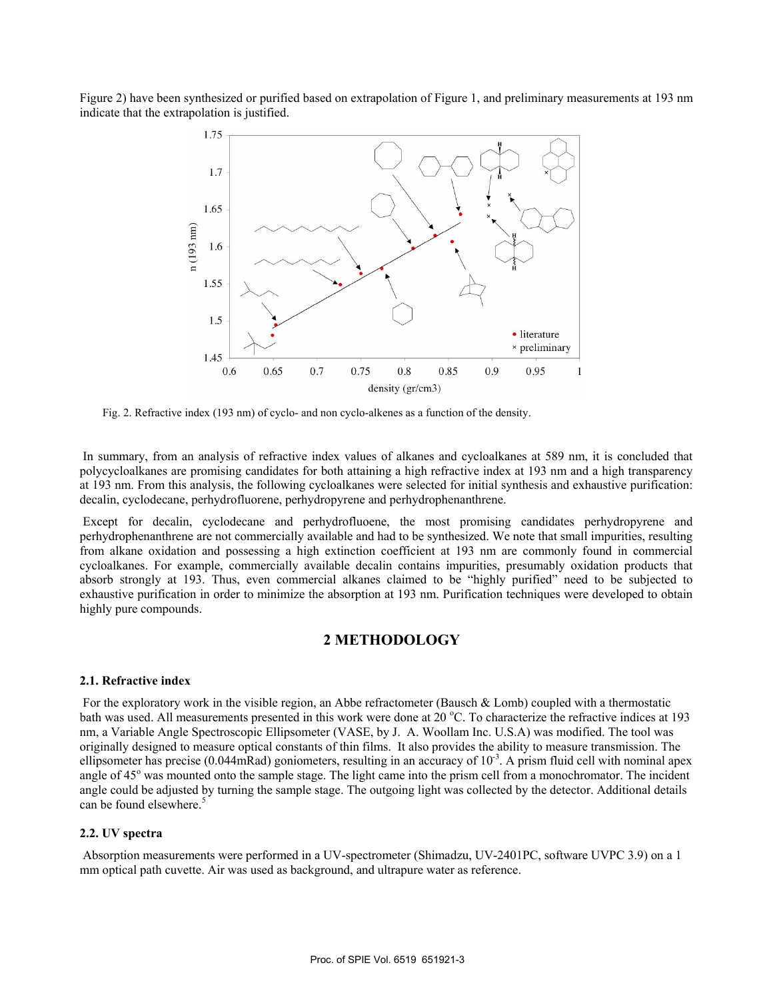Figure 2) have been synthesized or purified based on extrapolation of Figure 1, and preliminary measurements at 193 nm indicate that the extrapolation is justified.



Fig. 2. Refractive index (193 nm) of cyclo- and non cyclo-alkenes as a function of the density.

 In summary, from an analysis of refractive index values of alkanes and cycloalkanes at 589 nm, it is concluded that polycycloalkanes are promising candidates for both attaining a high refractive index at 193 nm and a high transparency at 193 nm. From this analysis, the following cycloalkanes were selected for initial synthesis and exhaustive purification: decalin, cyclodecane, perhydrofluorene, perhydropyrene and perhydrophenanthrene.

 Except for decalin, cyclodecane and perhydrofluoene, the most promising candidates perhydropyrene and perhydrophenanthrene are not commercially available and had to be synthesized. We note that small impurities, resulting from alkane oxidation and possessing a high extinction coefficient at 193 nm are commonly found in commercial cycloalkanes. For example, commercially available decalin contains impurities, presumably oxidation products that absorb strongly at 193. Thus, even commercial alkanes claimed to be "highly purified" need to be subjected to exhaustive purification in order to minimize the absorption at 193 nm. Purification techniques were developed to obtain highly pure compounds.

### **2 METHODOLOGY**

#### **2.1. Refractive index**

 For the exploratory work in the visible region, an Abbe refractometer (Bausch & Lomb) coupled with a thermostatic bath was used. All measurements presented in this work were done at 20 °C. To characterize the refractive indices at 193 nm, a Variable Angle Spectroscopic Ellipsometer (VASE, by J. A. Woollam Inc. U.S.A) was modified. The tool was originally designed to measure optical constants of thin films. It also provides the ability to measure transmission. The ellipsometer has precise (0.044mRad) goniometers, resulting in an accuracy of  $10^{-3}$ . A prism fluid cell with nominal apex angle of 45° was mounted onto the sample stage. The light came into the prism cell from a monochromator. The incident angle could be adjusted by turning the sample stage. The outgoing light was collected by the detector. Additional details can be found elsewhere.<sup>5</sup>

#### **2.2. UV spectra**

 Absorption measurements were performed in a UV-spectrometer (Shimadzu, UV-2401PC, software UVPC 3.9) on a 1 mm optical path cuvette. Air was used as background, and ultrapure water as reference.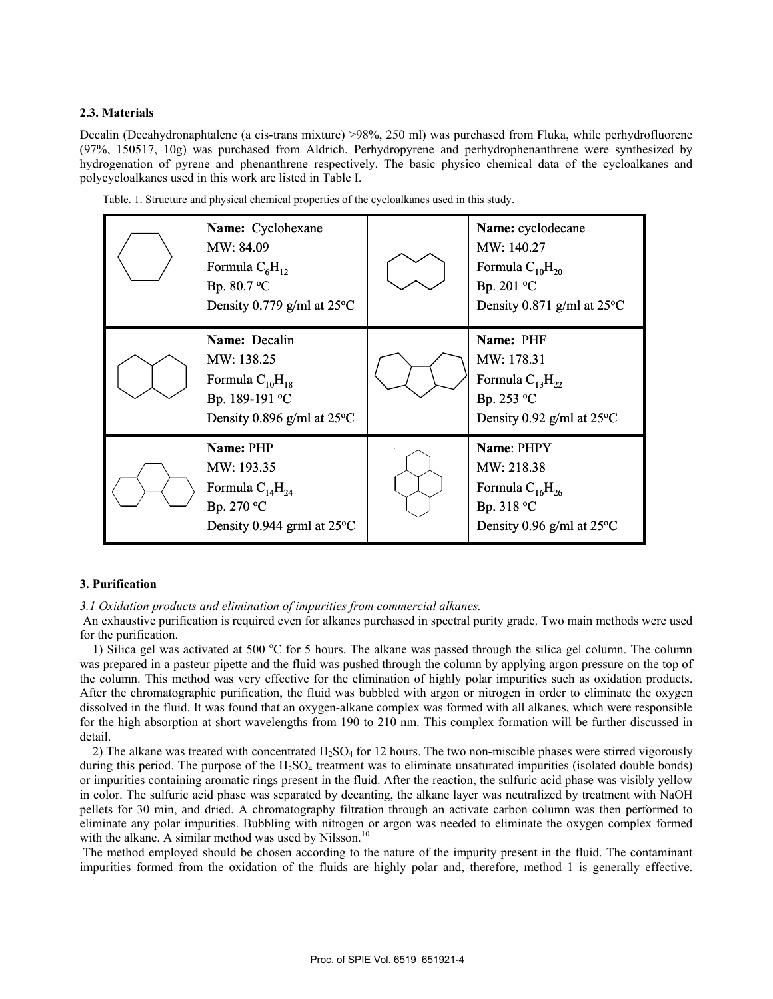#### **2.3. Materials**

Decalin (Decahydronaphtalene (a cis-trans mixture) >98%, 250 ml) was purchased from Fluka, while perhydrofluorene (97%, 150517, 10g) was purchased from Aldrich. Perhydropyrene and perhydrophenanthrene were synthesized by hydrogenation of pyrene and phenanthrene respectively. The basic physico chemical data of the cycloalkanes and polycycloalkanes used in this work are listed in Table I.

| Name: Cyclohexane<br>MW: 84.09<br>Formula $C_6H_{12}$<br>Bp. 80.7 °C<br>Density 0.779 g/ml at $25^{\circ}$ C | Name: cyclodecane<br>MW: 140.27<br>Formula $C_{10}H_{20}$<br>Bp. 201 °C<br>Density 0.871 g/ml at $25^{\circ}$ C |
|--------------------------------------------------------------------------------------------------------------|-----------------------------------------------------------------------------------------------------------------|
| Name: Decalin<br>MW: 138.25<br>Formula $C_{10}H_{18}$<br>Bp. 189-191 °C<br>Density 0.896 g/ml at 25°C        | Name: PHF<br>MW: 178.31<br>Formula $C_{13}H_{22}$<br>Bp. 253 °C<br>Density 0.92 g/ml at 25°C                    |
| Name: PHP<br>MW: 193.35<br>Formula $C_{14}H_{24}$<br>Bp. 270 °C<br>Density 0.944 grml at $25^{\circ}$ C      | Name: PHPY<br>MW: 218.38<br>Formula $C_{16}H_{26}$<br>Bp. 318 °C<br>Density 0.96 g/ml at $25^{\circ}$ C         |

Table. 1. Structure and physical chemical properties of the cycloalkanes used in this study.

#### **3. Purification**

*3.1 Oxidation products and elimination of impurities from commercial alkanes.* 

 An exhaustive purification is required even for alkanes purchased in spectral purity grade. Two main methods were used for the purification.

1) Silica gel was activated at 500 °C for 5 hours. The alkane was passed through the silica gel column. The column was prepared in a pasteur pipette and the fluid was pushed through the column by applying argon pressure on the top of the column. This method was very effective for the elimination of highly polar impurities such as oxidation products. After the chromatographic purification, the fluid was bubbled with argon or nitrogen in order to eliminate the oxygen dissolved in the fluid. It was found that an oxygen-alkane complex was formed with all alkanes, which were responsible for the high absorption at short wavelengths from 190 to 210 nm. This complex formation will be further discussed in detail.

2) The alkane was treated with concentrated  $H_2SO_4$  for 12 hours. The two non-miscible phases were stirred vigorously during this period. The purpose of the  $H_2SO_4$  treatment was to eliminate unsaturated impurities (isolated double bonds) or impurities containing aromatic rings present in the fluid. After the reaction, the sulfuric acid phase was visibly yellow in color. The sulfuric acid phase was separated by decanting, the alkane layer was neutralized by treatment with NaOH pellets for 30 min, and dried. A chromatography filtration through an activate carbon column was then performed to eliminate any polar impurities. Bubbling with nitrogen or argon was needed to eliminate the oxygen complex formed with the alkane. A similar method was used by Nilsson.<sup>10</sup>

 The method employed should be chosen according to the nature of the impurity present in the fluid. The contaminant impurities formed from the oxidation of the fluids are highly polar and, therefore, method 1 is generally effective.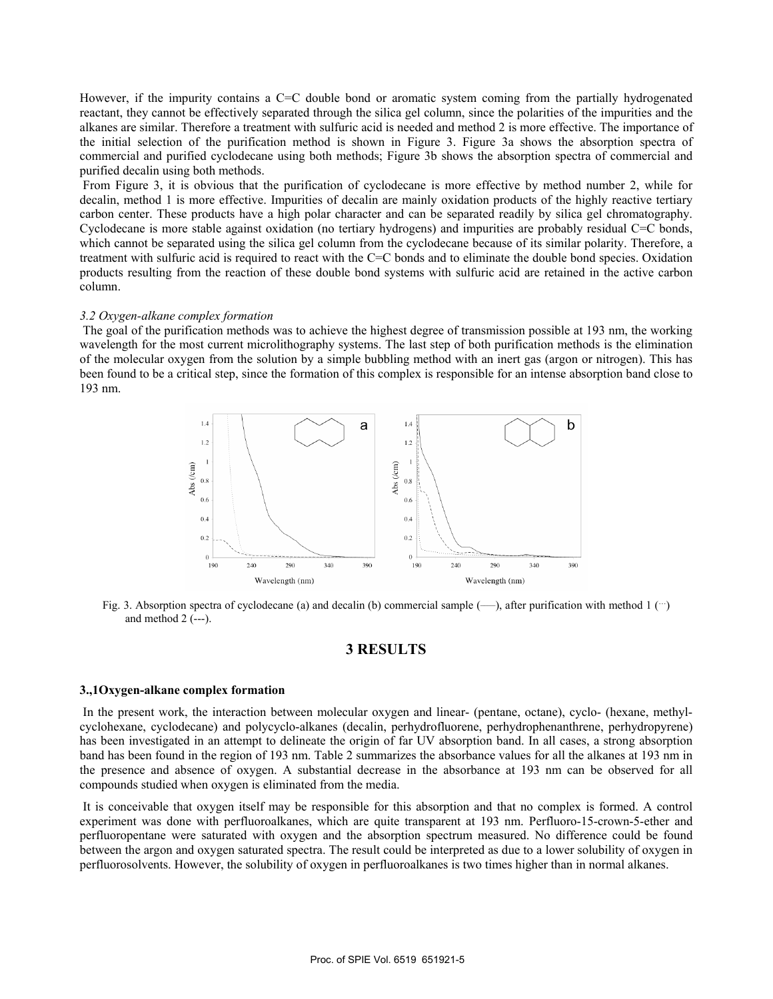However, if the impurity contains a C=C double bond or aromatic system coming from the partially hydrogenated reactant, they cannot be effectively separated through the silica gel column, since the polarities of the impurities and the alkanes are similar. Therefore a treatment with sulfuric acid is needed and method 2 is more effective. The importance of the initial selection of the purification method is shown in Figure 3. Figure 3a shows the absorption spectra of commercial and purified cyclodecane using both methods; Figure 3b shows the absorption spectra of commercial and purified decalin using both methods.

 From Figure 3, it is obvious that the purification of cyclodecane is more effective by method number 2, while for decalin, method 1 is more effective. Impurities of decalin are mainly oxidation products of the highly reactive tertiary carbon center. These products have a high polar character and can be separated readily by silica gel chromatography. Cyclodecane is more stable against oxidation (no tertiary hydrogens) and impurities are probably residual C=C bonds, which cannot be separated using the silica gel column from the cyclodecane because of its similar polarity. Therefore, a treatment with sulfuric acid is required to react with the C=C bonds and to eliminate the double bond species. Oxidation products resulting from the reaction of these double bond systems with sulfuric acid are retained in the active carbon column.

#### *3.2 Oxygen-alkane complex formation*

 The goal of the purification methods was to achieve the highest degree of transmission possible at 193 nm, the working wavelength for the most current microlithography systems. The last step of both purification methods is the elimination of the molecular oxygen from the solution by a simple bubbling method with an inert gas (argon or nitrogen). This has been found to be a critical step, since the formation of this complex is responsible for an intense absorption band close to 193 nm.



Fig. 3. Absorption spectra of cyclodecane (a) and decalin (b) commercial sample  $(-)$ , after purification with method 1  $(\cdots)$ and method  $2$  (---).

### **3 RESULTS**

#### **3.,1Oxygen-alkane complex formation**

 In the present work, the interaction between molecular oxygen and linear- (pentane, octane), cyclo- (hexane, methylcyclohexane, cyclodecane) and polycyclo-alkanes (decalin, perhydrofluorene, perhydrophenanthrene, perhydropyrene) has been investigated in an attempt to delineate the origin of far UV absorption band. In all cases, a strong absorption band has been found in the region of 193 nm. Table 2 summarizes the absorbance values for all the alkanes at 193 nm in the presence and absence of oxygen. A substantial decrease in the absorbance at 193 nm can be observed for all compounds studied when oxygen is eliminated from the media.

 It is conceivable that oxygen itself may be responsible for this absorption and that no complex is formed. A control experiment was done with perfluoroalkanes, which are quite transparent at 193 nm. Perfluoro-15-crown-5-ether and perfluoropentane were saturated with oxygen and the absorption spectrum measured. No difference could be found between the argon and oxygen saturated spectra. The result could be interpreted as due to a lower solubility of oxygen in perfluorosolvents. However, the solubility of oxygen in perfluoroalkanes is two times higher than in normal alkanes.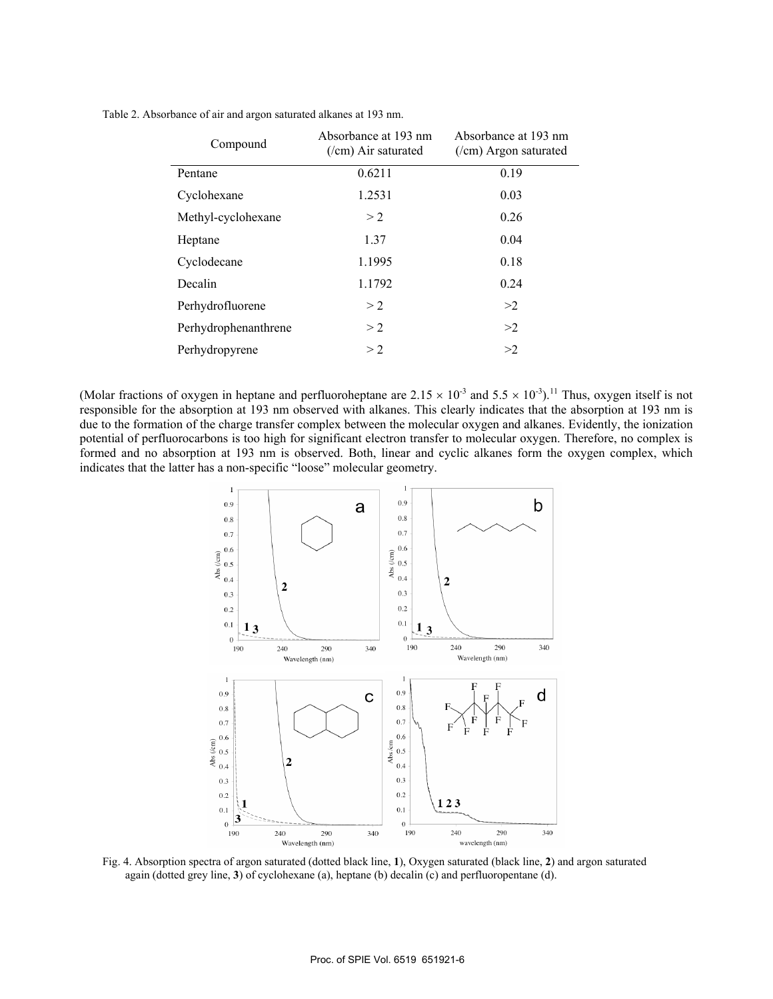| Compound             | Absorbance at 193 nm<br>$($ /cm) Air saturated | Absorbance at 193 nm<br>$($ /cm) Argon saturated |
|----------------------|------------------------------------------------|--------------------------------------------------|
| Pentane              | 0.6211                                         | 0.19                                             |
| Cyclohexane          | 1.2531                                         | 0.03                                             |
| Methyl-cyclohexane   | >2                                             | 0.26                                             |
| Heptane              | 1.37                                           | 0.04                                             |
| Cyclodecane          | 1.1995                                         | 0.18                                             |
| Decalin              | 1.1792                                         | 0.24                                             |
| Perhydrofluorene     | >2                                             | >2                                               |
| Perhydrophenanthrene | >2                                             | >2                                               |
| Perhydropyrene       | >2                                             | >2                                               |

Table 2. Absorbance of air and argon saturated alkanes at 193 nm.

(Molar fractions of oxygen in heptane and perfluoroheptane are  $2.15 \times 10^{-3}$  and  $5.5 \times 10^{-3}$ ).<sup>11</sup> Thus, oxygen itself is not responsible for the absorption at 193 nm observed with alkanes. This clearly indicates that the absorption at 193 nm is due to the formation of the charge transfer complex between the molecular oxygen and alkanes. Evidently, the ionization potential of perfluorocarbons is too high for significant electron transfer to molecular oxygen. Therefore, no complex is formed and no absorption at 193 nm is observed. Both, linear and cyclic alkanes form the oxygen complex, which indicates that the latter has a non-specific "loose" molecular geometry.



Fig. 4. Absorption spectra of argon saturated (dotted black line, **1**), Oxygen saturated (black line, **2**) and argon saturated again (dotted grey line, **3**) of cyclohexane (a), heptane (b) decalin (c) and perfluoropentane (d).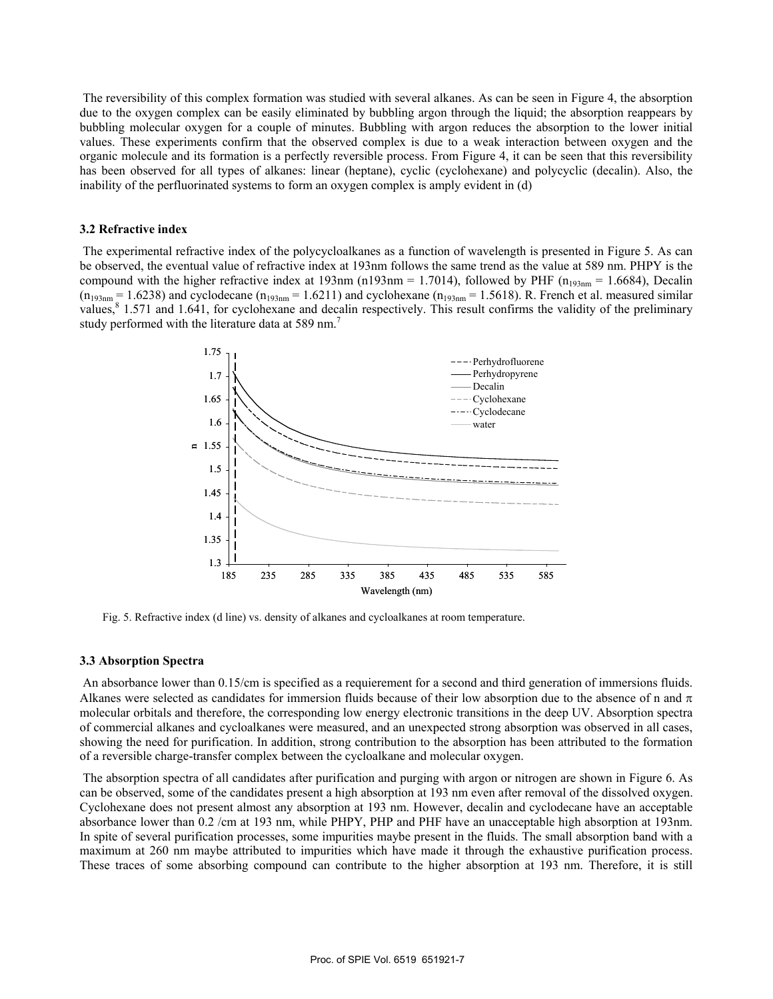The reversibility of this complex formation was studied with several alkanes. As can be seen in Figure 4, the absorption due to the oxygen complex can be easily eliminated by bubbling argon through the liquid; the absorption reappears by bubbling molecular oxygen for a couple of minutes. Bubbling with argon reduces the absorption to the lower initial values. These experiments confirm that the observed complex is due to a weak interaction between oxygen and the organic molecule and its formation is a perfectly reversible process. From Figure 4, it can be seen that this reversibility has been observed for all types of alkanes: linear (heptane), cyclic (cyclohexane) and polycyclic (decalin). Also, the inability of the perfluorinated systems to form an oxygen complex is amply evident in (d)

#### **3.2 Refractive index**

 The experimental refractive index of the polycycloalkanes as a function of wavelength is presented in Figure 5. As can be observed, the eventual value of refractive index at 193nm follows the same trend as the value at 589 nm. PHPY is the compound with the higher refractive index at 193nm (n193nm = 1.7014), followed by PHF ( $n_{193nm}$  = 1.6684), Decalin  $(n_{193nm} = 1.6238)$  and cyclodecane  $(n_{193nm} = 1.6211)$  and cyclohexane  $(n_{193nm} = 1.5618)$ . R. French et al. measured similar values,<sup>8</sup> 1.571 and 1.641, for cyclohexane and decalin respectively. This result confirms the validity of the preliminary study performed with the literature data at 589 nm.<sup>7</sup>



Fig. 5. Refractive index (d line) vs. density of alkanes and cycloalkanes at room temperature.

#### **3.3 Absorption Spectra**

 An absorbance lower than 0.15/cm is specified as a requierement for a second and third generation of immersions fluids. Alkanes were selected as candidates for immersion fluids because of their low absorption due to the absence of n and  $\pi$ molecular orbitals and therefore, the corresponding low energy electronic transitions in the deep UV. Absorption spectra of commercial alkanes and cycloalkanes were measured, and an unexpected strong absorption was observed in all cases, showing the need for purification. In addition, strong contribution to the absorption has been attributed to the formation of a reversible charge-transfer complex between the cycloalkane and molecular oxygen.

 The absorption spectra of all candidates after purification and purging with argon or nitrogen are shown in Figure 6. As can be observed, some of the candidates present a high absorption at 193 nm even after removal of the dissolved oxygen. Cyclohexane does not present almost any absorption at 193 nm. However, decalin and cyclodecane have an acceptable absorbance lower than 0.2 /cm at 193 nm, while PHPY, PHP and PHF have an unacceptable high absorption at 193nm. In spite of several purification processes, some impurities maybe present in the fluids. The small absorption band with a maximum at 260 nm maybe attributed to impurities which have made it through the exhaustive purification process. These traces of some absorbing compound can contribute to the higher absorption at 193 nm. Therefore, it is still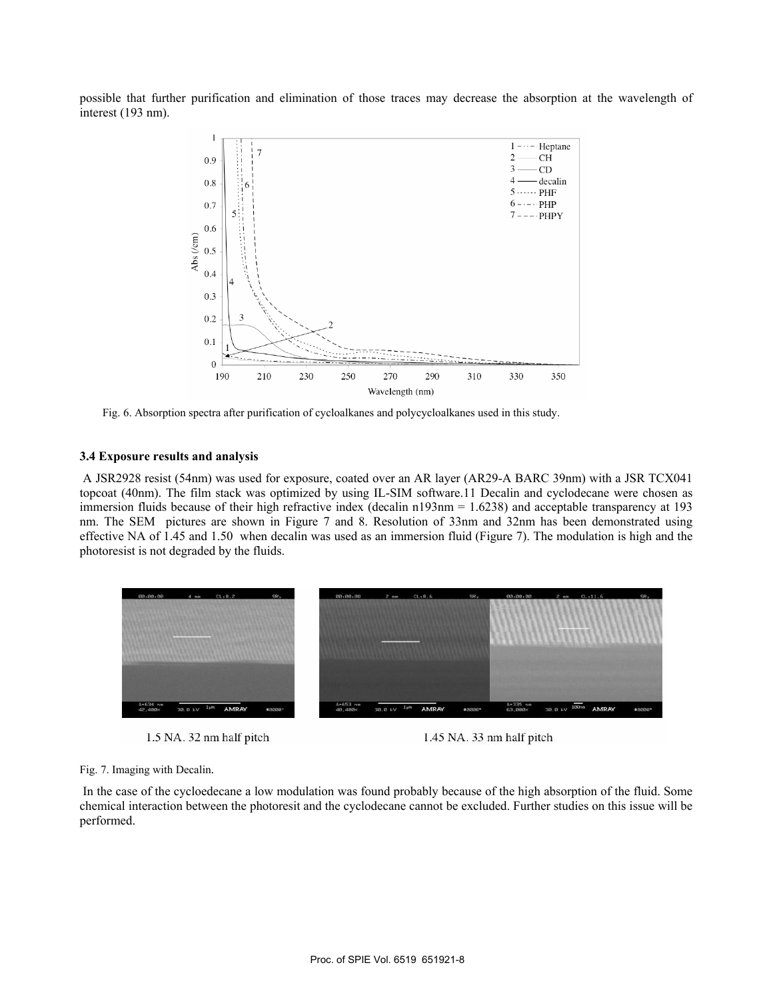possible that further purification and elimination of those traces may decrease the absorption at the wavelength of interest (193 nm).



Fig. 6. Absorption spectra after purification of cycloalkanes and polycycloalkanes used in this study.

### **3.4 Exposure results and analysis**

 A JSR2928 resist (54nm) was used for exposure, coated over an AR layer (AR29-A BARC 39nm) with a JSR TCX041 topcoat (40nm). The film stack was optimized by using IL-SIM software.11 Decalin and cyclodecane were chosen as immersion fluids because of their high refractive index (decalin n193nm = 1.6238) and acceptable transparency at 193 nm. The SEM pictures are shown in Figure 7 and 8. Resolution of 33nm and 32nm has been demonstrated using effective NA of 1.45 and 1.50 when decalin was used as an immersion fluid (Figure 7). The modulation is high and the photoresist is not degraded by the fluids.



1.5 NA. 32 nm half pitch 1.45 NA. 33 nm half pitch

Fig. 7. Imaging with Decalin.

 In the case of the cycloedecane a low modulation was found probably because of the high absorption of the fluid. Some chemical interaction between the photoresit and the cyclodecane cannot be excluded. Further studies on this issue will be performed.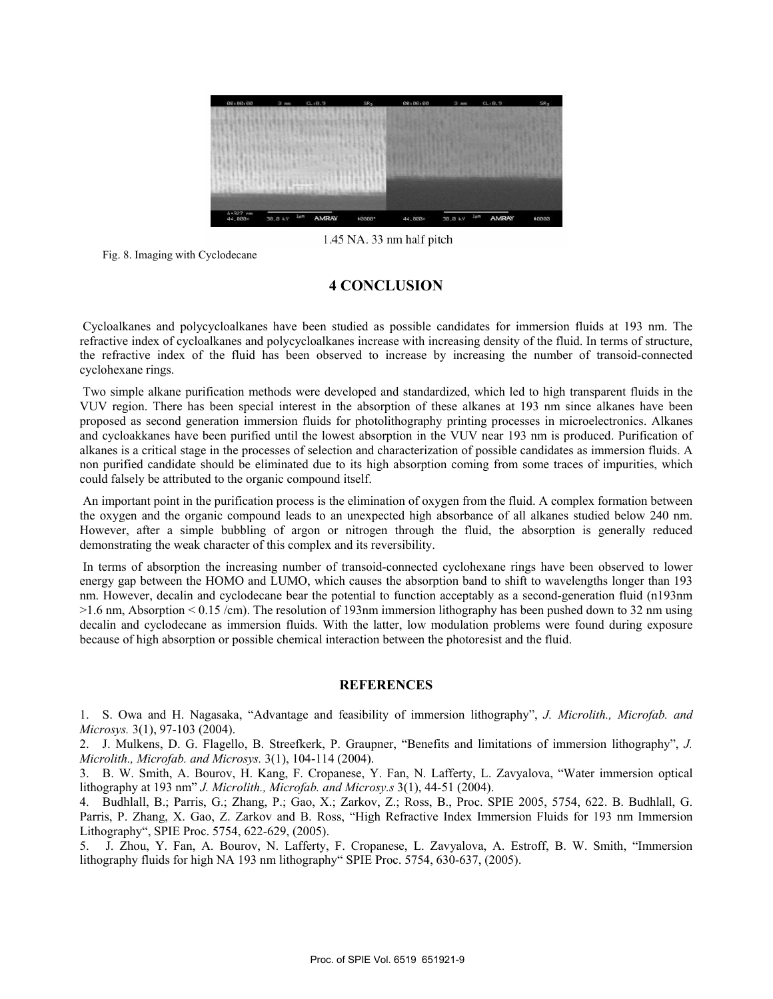

1.45 NA. 33 nm half pitch

Fig. 8. Imaging with Cyclodecane

## **4 CONCLUSION**

 Cycloalkanes and polycycloalkanes have been studied as possible candidates for immersion fluids at 193 nm. The refractive index of cycloalkanes and polycycloalkanes increase with increasing density of the fluid. In terms of structure, the refractive index of the fluid has been observed to increase by increasing the number of transoid-connected cyclohexane rings.

 Two simple alkane purification methods were developed and standardized, which led to high transparent fluids in the VUV region. There has been special interest in the absorption of these alkanes at 193 nm since alkanes have been proposed as second generation immersion fluids for photolithography printing processes in microelectronics. Alkanes and cycloakkanes have been purified until the lowest absorption in the VUV near 193 nm is produced. Purification of alkanes is a critical stage in the processes of selection and characterization of possible candidates as immersion fluids. A non purified candidate should be eliminated due to its high absorption coming from some traces of impurities, which could falsely be attributed to the organic compound itself.

 An important point in the purification process is the elimination of oxygen from the fluid. A complex formation between the oxygen and the organic compound leads to an unexpected high absorbance of all alkanes studied below 240 nm. However, after a simple bubbling of argon or nitrogen through the fluid, the absorption is generally reduced demonstrating the weak character of this complex and its reversibility.

 In terms of absorption the increasing number of transoid-connected cyclohexane rings have been observed to lower energy gap between the HOMO and LUMO, which causes the absorption band to shift to wavelengths longer than 193 nm. However, decalin and cyclodecane bear the potential to function acceptably as a second-generation fluid (n193nm >1.6 nm, Absorption < 0.15 /cm). The resolution of 193nm immersion lithography has been pushed down to 32 nm using decalin and cyclodecane as immersion fluids. With the latter, low modulation problems were found during exposure because of high absorption or possible chemical interaction between the photoresist and the fluid.

### **REFERENCES**

1. S. Owa and H. Nagasaka, "Advantage and feasibility of immersion lithography", *J. Microlith., Microfab. and Microsys.* 3(1), 97-103 (2004).

2. J. Mulkens, D. G. Flagello, B. Streefkerk, P. Graupner, "Benefits and limitations of immersion lithography", *J. Microlith., Microfab. and Microsys.* 3(1), 104-114 (2004).

3. B. W. Smith, A. Bourov, H. Kang, F. Cropanese, Y. Fan, N. Lafferty, L. Zavyalova, "Water immersion optical lithography at 193 nm" *J. Microlith., Microfab. and Microsy.s* 3(1), 44-51 (2004).

4. Budhlall, B.; Parris, G.; Zhang, P.; Gao, X.; Zarkov, Z.; Ross, B., Proc. SPIE 2005, 5754, 622. B. Budhlall, G. Parris, P. Zhang, X. Gao, Z. Zarkov and B. Ross, "High Refractive Index Immersion Fluids for 193 nm Immersion Lithography", SPIE Proc. 5754, 622-629, (2005).

5. J. Zhou, Y. Fan, A. Bourov, N. Lafferty, F. Cropanese, L. Zavyalova, A. Estroff, B. W. Smith, "Immersion lithography fluids for high NA 193 nm lithography" SPIE Proc. 5754, 630-637, (2005).